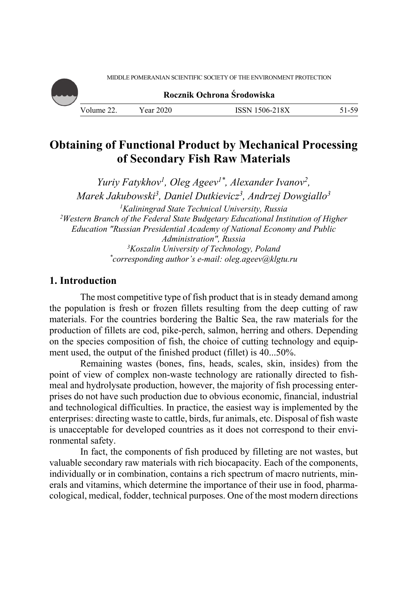MIDDLE POMERANIAN SCIENTIFIC SOCIETY OF THE ENVIRONMENT PROTECTION

**Rocznik Ochrona Środowiska**

Volume 22. Year 2020 ISSN 1506-218X 51-59

# **Obtaining of Functional Product by Mechanical Processing of Secondary Fish Raw Materials**

*Yuriy Fatykhov1, Oleg Ageev1\*, Alexander Ivanov2, Marek Jakubowski3, Daniel Dutkievicz3, Andrzej Dowgiallo3* <sup>1</sup>Kaliningrad State Technical University, Russia *Kaliningrad State Technical University, Russia 2 Western Branch of the Federal State Budgetary Educational Institution of Higher Education "Russian Presidential Academy of National Economy and Public Administration", Russia 3 Koszalin University of Technology, Poland \* corresponding author's e-mail: oleg.ageev@klgtu.ru* 

# **1. Introduction**

The most competitive type of fish product that is in steady demand among the population is fresh or frozen fillets resulting from the deep cutting of raw materials. For the countries bordering the Baltic Sea, the raw materials for the production of fillets are cod, pike-perch, salmon, herring and others. Depending on the species composition of fish, the choice of cutting technology and equipment used, the output of the finished product (fillet) is 40...50%.

Remaining wastes (bones, fins, heads, scales, skin, insides) from the point of view of complex non-waste technology are rationally directed to fishmeal and hydrolysate production, however, the majority of fish processing enterprises do not have such production due to obvious economic, financial, industrial and technological difficulties. In practice, the easiest way is implemented by the enterprises: directing waste to cattle, birds, fur animals, etc. Disposal of fish waste is unacceptable for developed countries as it does not correspond to their environmental safety.

In fact, the components of fish produced by filleting are not wastes, but valuable secondary raw materials with rich biocapacity. Each of the components, individually or in combination, contains a rich spectrum of macro nutrients, minerals and vitamins, which determine the importance of their use in food, pharmacological, medical, fodder, technical purposes. One of the most modern directions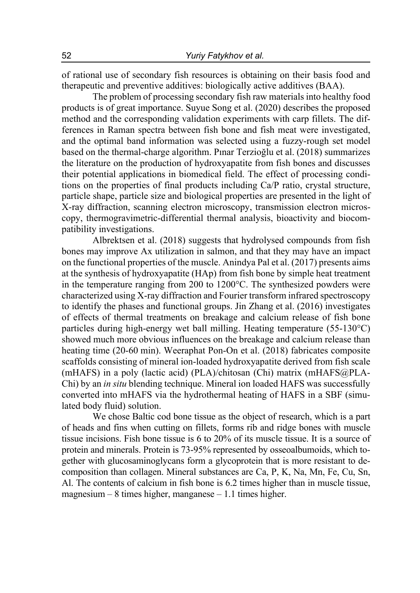of rational use of secondary fish resources is obtaining on their basis food and therapeutic and preventive additives: biologically active additives (BAA).

The problem of processing secondary fish raw materials into healthy food products is of great importance. Suyue Song et al. (2020) describes the proposed method and the corresponding validation experiments with carp fillets. The differences in Raman spectra between fish bone and fish meat were investigated, and the optimal band information was selected using a fuzzy-rough set model based on the thermal-charge algorithm. Pınar Terzioğlu et al. (2018) summarizes the literature on the production of hydroxyapatite from fish bones and discusses their potential applications in biomedical field. The effect of processing conditions on the properties of final products including Ca/P ratio, crystal structure, particle shape, particle size and biological properties are presented in the light of X-ray diffraction, scanning electron microscopy, transmission electron microscopy, thermogravimetric-differential thermal analysis, bioactivity and biocompatibility investigations.

Albrektsen et al. (2018) suggests that hydrolysed compounds from fish bones may improve Ax utilization in salmon, and that they may have an impact on the functional properties of the muscle. Anindya Pal et al. (2017) presents aims at the synthesis of hydroxyapatite (HAp) from fish bone by simple heat treatment in the temperature ranging from 200 to 1200°C. The synthesized powders were characterized using X-ray diffraction and Fourier transform infrared spectroscopy to identify the phases and functional groups. Jin Zhang et al. (2016) investigates of effects of thermal treatments on breakage and calcium release of fish bone particles during high-energy wet ball milling. Heating temperature (55-130°C) showed much more obvious influences on the breakage and calcium release than heating time (20-60 min). Weeraphat Pon-On et al. (2018) fabricates composite scaffolds consisting of mineral ion-loaded hydroxyapatite derived from fish scale (mHAFS) in a poly (lactic acid) (PLA)/chitosan (Chi) matrix (mHAFS@PLA-Chi) by an *in situ* blending technique. Mineral ion loaded HAFS was successfully converted into mHAFS via the hydrothermal heating of HAFS in a SBF (simulated body fluid) solution.

We chose Baltic cod bone tissue as the object of research, which is a part of heads and fins when cutting on fillets, forms rib and ridge bones with muscle tissue incisions. Fish bone tissue is 6 to 20% of its muscle tissue. It is a source of protein and minerals. Protein is 73-95% represented by osseoalbumoids, which together with glucosaminoglycans form a glycoprotein that is more resistant to decomposition than collagen. Mineral substances are Ca, P, K, Na, Mn, Fe, Cu, Sn, Al. The contents of calcium in fish bone is 6.2 times higher than in muscle tissue, magnesium – 8 times higher, manganese – 1.1 times higher.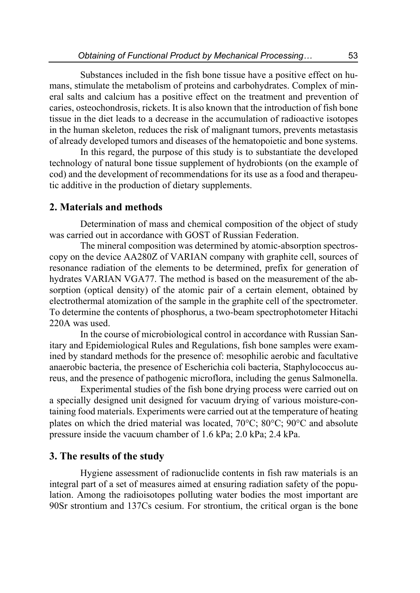Substances included in the fish bone tissue have a positive effect on humans, stimulate the metabolism of proteins and carbohydrates. Complex of mineral salts and calcium has a positive effect on the treatment and prevention of caries, osteochondrosis, rickets. It is also known that the introduction of fish bone tissue in the diet leads to a decrease in the accumulation of radioactive isotopes in the human skeleton, reduces the risk of malignant tumors, prevents metastasis of already developed tumors and diseases of the hematopoietic and bone systems.

In this regard, the purpose of this study is to substantiate the developed technology of natural bone tissue supplement of hydrobionts (on the example of cod) and the development of recommendations for its use as a food and therapeutic additive in the production of dietary supplements.

## **2. Materials and methods**

Determination of mass and chemical composition of the object of study was carried out in accordance with GOST of Russian Federation.

The mineral composition was determined by atomic-absorption spectroscopy on the device AA280Z of VARIAN company with graphite cell, sources of resonance radiation of the elements to be determined, prefix for generation of hydrates VARIAN VGA77. The method is based on the measurement of the absorption (optical density) of the atomic pair of a certain element, obtained by electrothermal atomization of the sample in the graphite cell of the spectrometer. To determine the contents of phosphorus, a two-beam spectrophotometer Hitachi 220A was used.

In the course of microbiological control in accordance with Russian Sanitary and Epidemiological Rules and Regulations, fish bone samples were examined by standard methods for the presence of: mesophilic aerobic and facultative anaerobic bacteria, the presence of Escherichia coli bacteria, Staphylococcus aureus, and the presence of pathogenic microflora, including the genus Salmonella.

Experimental studies of the fish bone drying process were carried out on a specially designed unit designed for vacuum drying of various moisture-containing food materials. Experiments were carried out at the temperature of heating plates on which the dried material was located,  $70^{\circ}$ C;  $80^{\circ}$ C;  $90^{\circ}$ C and absolute pressure inside the vacuum chamber of 1.6 kPa; 2.0 kPa; 2.4 kPa.

## **3. The results of the study**

Hygiene assessment of radionuclide contents in fish raw materials is an integral part of a set of measures aimed at ensuring radiation safety of the population. Among the radioisotopes polluting water bodies the most important are 90Sr strontium and 137Cs cesium. For strontium, the critical organ is the bone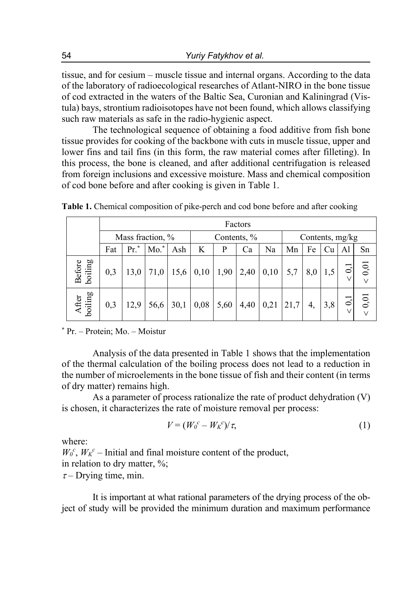tissue, and for cesium – muscle tissue and internal organs. According to the data of the laboratory of radioecological researches of Atlant-NIRO in the bone tissue of cod extracted in the waters of the Baltic Sea, Curonian and Kaliningrad (Vistula) bays, strontium radioisotopes have not been found, which allows classifying such raw materials as safe in the radio-hygienic aspect.

The technological sequence of obtaining a food additive from fish bone tissue provides for cooking of the backbone with cuts in muscle tissue, upper and lower fins and tail fins (in this form, the raw material comes after filleting). In this process, the bone is cleaned, and after additional centrifugation is released from foreign inclusions and excessive moisture. Mass and chemical composition of cod bone before and after cooking is given in Table 1.

|                   | Factors          |      |            |      |             |      |      |      |                 |     |     |                          |                |
|-------------------|------------------|------|------------|------|-------------|------|------|------|-----------------|-----|-----|--------------------------|----------------|
|                   | Mass fraction, % |      |            |      | Contents, % |      |      |      | Contents, mg/kg |     |     |                          |                |
|                   | Fat              | Pr.  | $*$<br>Mo. | Ash  | K           | P    | Ca   | Na   | Mn              | Fe  | Cu  | Al                       | Sn             |
| Before<br>boiling | 0,3              | 13,0 | 71,0       | 15,6 | 0,10        | 1,90 | 2,40 | 0,10 | 5,7             | 8,0 |     | V                        | 0,01<br>$\vee$ |
| After<br>boiling  | 0,3              | 12,9 | 56,6       | 30,1 | 0,08        | 5,60 | 4,40 | 0,21 | 21,7            | 4,  | 3,8 | $\overline{0}$<br>$\vee$ | 0,01<br>$\vee$ |

**Table 1.** Chemical composition of pike-perch and cod bone before and after cooking

\* Pr. – Protein; Mo. – Moistur

Analysis of the data presented in Table 1 shows that the implementation of the thermal calculation of the boiling process does not lead to a reduction in the number of microelements in the bone tissue of fish and their content (in terms of dry matter) remains high.

As a parameter of process rationalize the rate of product dehydration (V) is chosen, it characterizes the rate of moisture removal per process:

$$
V = (W_0^c - W_K^c)/\tau,
$$
\n(1)

where:

 $W_0^c$ ,  $W_K^c$  – Initial and final moisture content of the product, in relation to dry matter, %;  $\tau$ – Drying time, min.

It is important at what rational parameters of the drying process of the object of study will be provided the minimum duration and maximum performance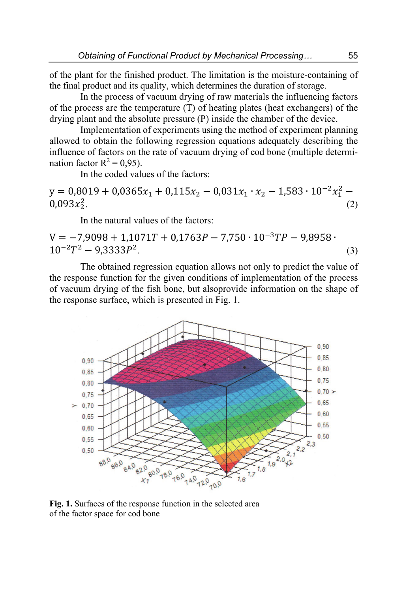of the plant for the finished product. The limitation is the moisture-containing of the final product and its quality, which determines the duration of storage.

In the process of vacuum drying of raw materials the influencing factors of the process are the temperature (T) of heating plates (heat exchangers) of the drying plant and the absolute pressure (P) inside the chamber of the device.

Implementation of experiments using the method of experiment planning allowed to obtain the following regression equations adequately describing the influence of factors on the rate of vacuum drying of cod bone (multiple determination factor  $R^2 = 0.95$ ).

In the coded values of the factors:

 $y = 0.8019 + 0.0365x_1 + 0.115x_2 - 0.031x_1 \cdot x_2 - 1.583 \cdot 10^{-2}x_1^2$  $0,093x_2^2$ .  $\frac{2}{2}$ . (2)

In the natural values of the factors:

$$
V = -7,9098 + 1,1071T + 0,1763P - 7,750 \cdot 10^{-3}TP - 9,8958 \cdot 10^{-2}T^2 - 9,3333P^2.
$$
 (3)

The obtained regression equation allows not only to predict the value of the response function for the given conditions of implementation of the process of vacuum drying of the fish bone, but alsoprovide information on the shape of the response surface, which is presented in Fig. 1.



**Fig. 1.** Surfaces of the response function in the selected area of the factor space for cod bone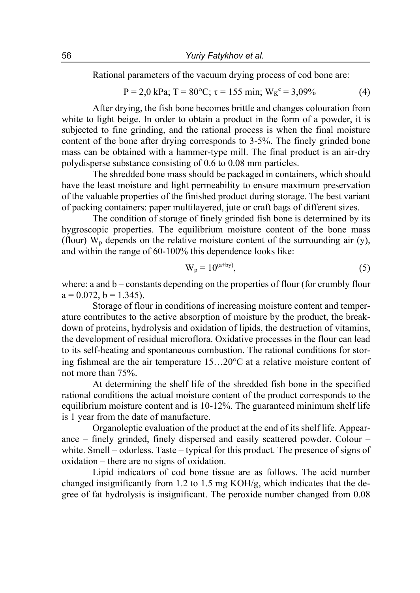Rational parameters of the vacuum drying process of cod bone are:

$$
P = 2.0 \text{ kPa}; T = 80^{\circ}C; \tau = 155 \text{ min}; W_K^c = 3.09\% \tag{4}
$$

After drying, the fish bone becomes brittle and changes colouration from white to light beige. In order to obtain a product in the form of a powder, it is subjected to fine grinding, and the rational process is when the final moisture content of the bone after drying corresponds to 3-5%. The finely grinded bone mass can be obtained with a hammer-type mill. The final product is an air-dry polydisperse substance consisting of 0.6 to 0.08 mm particles.

The shredded bone mass should be packaged in containers, which should have the least moisture and light permeability to ensure maximum preservation of the valuable properties of the finished product during storage. The best variant of packing containers: paper multilayered, jute or craft bags of different sizes.

The condition of storage of finely grinded fish bone is determined by its hygroscopic properties. The equilibrium moisture content of the bone mass (flour)  $W_p$  depends on the relative moisture content of the surrounding air (y), and within the range of 60-100% this dependence looks like:

$$
W_p = 10^{(a+by)},
$$
 (5)

where: a and  $b$  – constants depending on the properties of flour (for crumbly flour  $a = 0.072$ ,  $b = 1.345$ ).

Storage of flour in conditions of increasing moisture content and temperature contributes to the active absorption of moisture by the product, the breakdown of proteins, hydrolysis and oxidation of lipids, the destruction of vitamins, the development of residual microflora. Oxidative processes in the flour can lead to its self-heating and spontaneous combustion. The rational conditions for storing fishmeal are the air temperature  $15...20^{\circ}$  at a relative moisture content of not more than 75%.

At determining the shelf life of the shredded fish bone in the specified rational conditions the actual moisture content of the product corresponds to the equilibrium moisture content and is 10-12%. The guaranteed minimum shelf life is 1 year from the date of manufacture.

Organoleptic evaluation of the product at the end of its shelf life. Appearance – finely grinded, finely dispersed and easily scattered powder. Colour – white. Smell – odorless. Taste – typical for this product. The presence of signs of oxidation – there are no signs of oxidation.

Lipid indicators of cod bone tissue are as follows. The acid number changed insignificantly from 1.2 to 1.5 mg KOH/g, which indicates that the degree of fat hydrolysis is insignificant. The peroxide number changed from 0.08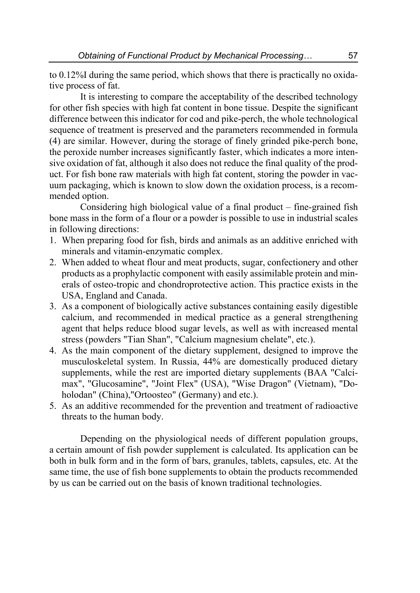to 0.12%I during the same period, which shows that there is practically no oxidative process of fat.

It is interesting to compare the acceptability of the described technology for other fish species with high fat content in bone tissue. Despite the significant difference between this indicator for cod and pike-perch, the whole technological sequence of treatment is preserved and the parameters recommended in formula (4) are similar. However, during the storage of finely grinded pike-perch bone, the peroxide number increases significantly faster, which indicates a more intensive oxidation of fat, although it also does not reduce the final quality of the product. For fish bone raw materials with high fat content, storing the powder in vacuum packaging, which is known to slow down the oxidation process, is a recommended option.

Considering high biological value of a final product – fine-grained fish bone mass in the form of a flour or a powder is possible to use in industrial scales in following directions:

- 1. When preparing food for fish, birds and animals as an additive enriched with minerals and vitamin-enzymatic complex.
- 2. When added to wheat flour and meat products, sugar, confectionery and other products as a prophylactic component with easily assimilable protein and minerals of osteo-tropic and chondroprotective action. This practice exists in the USA, England and Canada.
- 3. As a component of biologically active substances containing easily digestible calcium, and recommended in medical practice as a general strengthening agent that helps reduce blood sugar levels, as well as with increased mental stress (powders "Tian Shan", "Calcium magnesium chelate", etc.).
- 4. As the main component of the dietary supplement, designed to improve the musculoskeletal system. In Russia, 44% are domestically produced dietary supplements, while the rest are imported dietary supplements (BAA "Calcimax", "Glucosamine", "Joint Flex" (USA), "Wise Dragon" (Vietnam), "Doholodan" (China),"Ortoosteo" (Germany) and etc.).
- 5. As an additive recommended for the prevention and treatment of radioactive threats to the human body.

Depending on the physiological needs of different population groups, a certain amount of fish powder supplement is calculated. Its application can be both in bulk form and in the form of bars, granules, tablets, capsules, etc. At the same time, the use of fish bone supplements to obtain the products recommended by us can be carried out on the basis of known traditional technologies.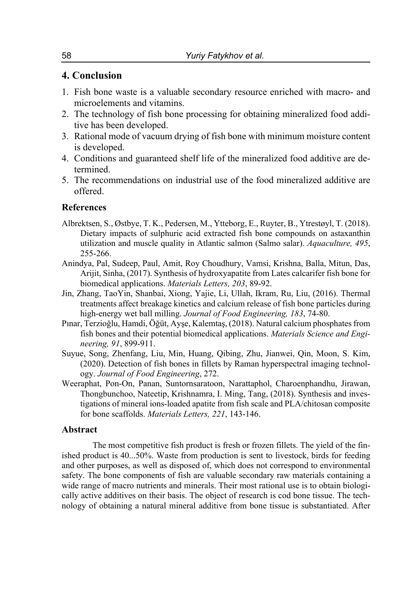# **4. Conclusion**

- 1. Fish bone waste is a valuable secondary resource enriched with macro- and microelements and vitamins.
- 2. The technology of fish bone processing for obtaining mineralized food additive has been developed.
- 3. Rational mode of vacuum drying of fish bone with minimum moisture content is developed.
- 4. Сonditions and guaranteed shelf life of the mineralized food additive are determined.
- 5. The recommendations on industrial use of the food mineralized additive are offered.

#### **References**

- Albrektsen, S., Østbye, T. K., Pedersen, M., Ytteborg, E., Ruyter, B., Ytrestøyl, T. (2018). Dietary impacts of sulphuric acid extracted fish bone compounds on astaxanthin utilization and muscle quality in Atlantic salmon (Salmo salar). *Aquaculture, 495*, 255-266.
- Anindya, Pal, Sudeep, Paul, Amit, Roy Choudhury, Vamsi, Krishna, Balla, Mitun, Das, Arijit, Sinha, (2017). Synthesis of hydroxyapatite from Lates calcarifer fish bone for biomedical applications. *Materials Letters, 203*, 89-92.
- Jin, Zhang, TaoYin, Shanbai, Xiong, Yajie, Li, Ullah, Ikram, Ru, Liu, (2016). Thermal treatments affect breakage kinetics and calcium release of fish bone particles during high-energy wet ball milling. *Journal of Food Engineering, 183*, 74-80.
- Pınar, Terzioğlu, Hamdi, Öğüt, Ayşe, Kalemtaş, (2018). Natural calcium phosphates from fish bones and their potential biomedical applications. *Materials Science and Engineering, 91*, 899-911.
- Suyue, Song, Zhenfang, Liu, Min, Huang, Qibing, Zhu, Jianwei, Qin, Moon, S. Kim, (2020). Detection of fish bones in fillets by Raman hyperspectral imaging technology. *Journal of Food Engineering*, 272.
- Weeraphat, Pon-On, Panan, Suntornsaratoon, Narattaphol, Charoenphandhu, Jirawan, Thongbunchoo, Nateetip, Krishnamra, I. Ming, Tang, (2018). Synthesis and investigations of mineral ions-loaded apatite from fish scale and PLA/chitosan composite for bone scaffolds. *Materials Letters, 221*, 143-146.

#### **Abstract**

The most competitive fish product is fresh or frozen fillets. The yield of the finished product is 40...50%. Waste from production is sent to livestock, birds for feeding and other purposes, as well as disposed of, which does not correspond to environmental safety. The bone components of fish are valuable secondary raw materials containing a wide range of macro nutrients and minerals. Their most rational use is to obtain biologically active additives on their basis. The object of research is cod bone tissue. The technology of obtaining a natural mineral additive from bone tissue is substantiated. After